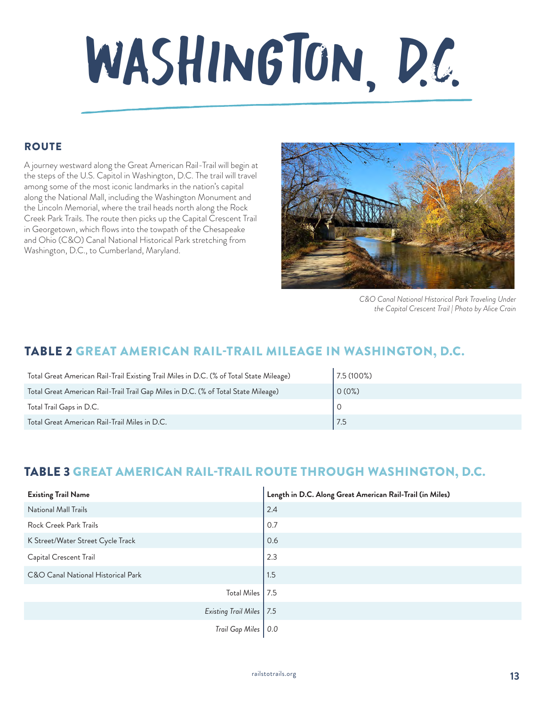# WASHINGTON, D.C.

# **ROUTE**

A journey westward along the Great American Rail-Trail will begin at the steps of the U.S. Capitol in Washington, D.C. The trail will travel among some of the most iconic landmarks in the nation's capital along the National Mall, including the Washington Monument and the Lincoln Memorial, where the trail heads north along the Rock Creek Park Trails. The route then picks up the Capital Crescent Trail in Georgetown, which flows into the towpath of the Chesapeake and Ohio (C&O) Canal National Historical Park stretching from Washington, D.C., to Cumberland, Maryland.



*C&O Canal National Historical Park Traveling Under the Capital Crescent Trail | Photo by Alice Crain*

# TABLE 2 GREAT AMERICAN RAIL-TRAIL MILEAGE IN WASHINGTON, D.C.

| Total Great American Rail-Trail Existing Trail Miles in D.C. (% of Total State Mileage) | 7.5 (100%) |
|-----------------------------------------------------------------------------------------|------------|
| Total Great American Rail-Trail Trail Gap Miles in D.C. (% of Total State Mileage)      | $0(0\%)$   |
| Total Trail Gaps in D.C.                                                                |            |
| Total Great American Rail-Trail Miles in D.C.                                           |            |

# TABLE 3 GREAT AMERICAN RAIL-TRAIL ROUTE THROUGH WASHINGTON, D.C.

| <b>Existing Trail Name</b>         | Length in D.C. Along Great American Rail-Trail (in Miles) |
|------------------------------------|-----------------------------------------------------------|
| National Mall Trails               | 2.4                                                       |
| Rock Creek Park Trails             | 0.7                                                       |
| K Street/Water Street Cycle Track  | 0.6                                                       |
| Capital Crescent Trail             | 2.3                                                       |
| C&O Canal National Historical Park | 1.5                                                       |
| Total Miles   7.5                  |                                                           |
| Existing Trail Miles   7.5         |                                                           |
| Trail Gap Miles                    | 0.0                                                       |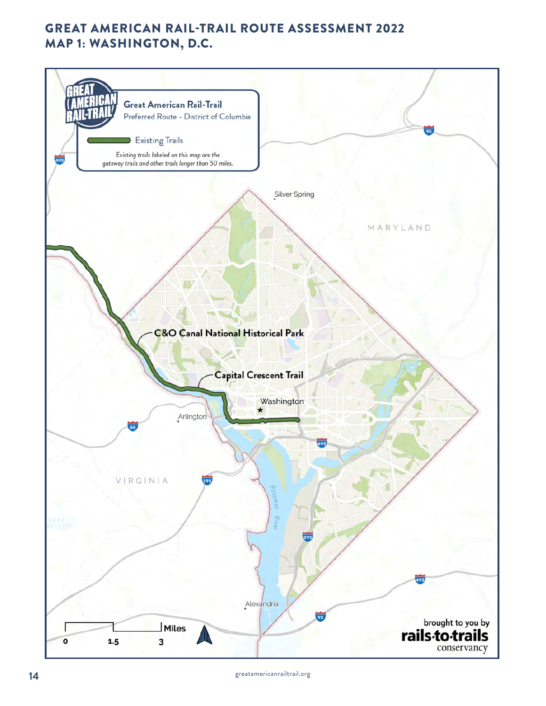

greatamericanrailtrail.org **14**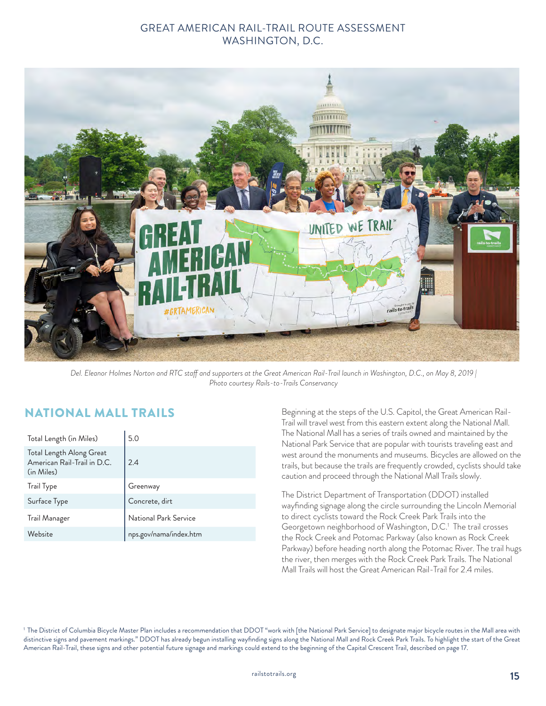

*Del. Eleanor Holmes Norton and RTC staff and supporters at the Great American Rail-Trail launch in Washington, D.C., on May 8, 2019 | Photo courtesy Rails-to-Trails Conservancy*

# NATIONAL MALL TRAILS

| Total Length (in Miles)                                               | 5.0                    |
|-----------------------------------------------------------------------|------------------------|
| Total Length Along Great<br>American Rail-Trail in D.C.<br>(in Miles) | 2.4                    |
| Trail Type                                                            | Greenway               |
| Surface Type                                                          | Concrete, dirt         |
| Trail Manager                                                         | National Park Service  |
| Website                                                               | nps.gov/nama/index.htm |

Beginning at the steps of the U.S. Capitol, the Great American Rail-Trail will travel west from this eastern extent along the National Mall. The National Mall has a series of trails owned and maintained by the National Park Service that are popular with tourists traveling east and west around the monuments and museums. Bicycles are allowed on the trails, but because the trails are frequently crowded, cyclists should take caution and proceed through the National Mall Trails slowly.

The District Department of Transportation (DDOT) installed wayfinding signage along the circle surrounding the Lincoln Memorial to direct cyclists toward the Rock Creek Park Trails into the Georgetown neighborhood of Washington, D.C.<sup>1</sup> The trail crosses the Rock Creek and Potomac Parkway (also known as Rock Creek Parkway) before heading north along the Potomac River. The trail hugs the river, then merges with the Rock Creek Park Trails. The National Mall Trails will host the Great American Rail-Trail for 2.4 miles.

<sup>1</sup> The District of Columbia Bicycle Master Plan includes a recommendation that DDOT "work with [the National Park Service] to designate major bicycle routes in the Mall area with distinctive signs and pavement markings." DDOT has already begun installing wayfinding signs along the National Mall and Rock Creek Park Trails. To highlight the start of the Great American Rail-Trail, these signs and other potential future signage and markings could extend to the beginning of the Capital Crescent Trail, described on page 17.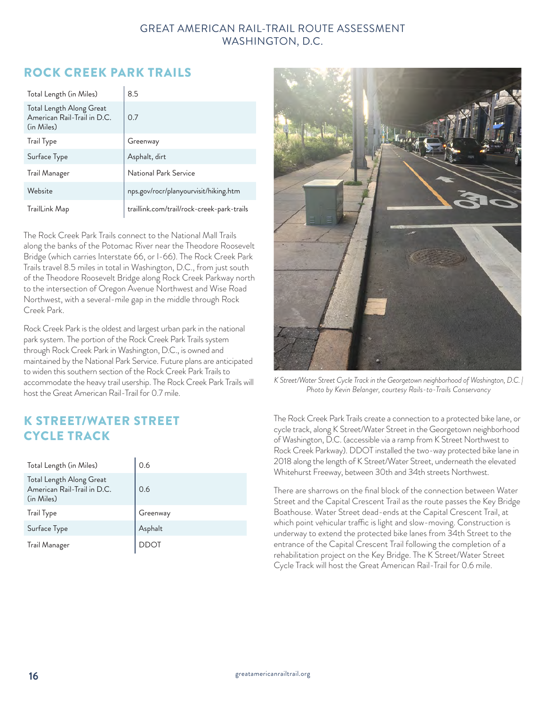# ROCK CREEK PARK TRAILS

| Total Length (in Miles)                                               | 8.5                                        |
|-----------------------------------------------------------------------|--------------------------------------------|
| Total Length Along Great<br>American Rail-Trail in D.C.<br>(in Miles) | 0.7                                        |
| Trail Type                                                            | Greenway                                   |
| Surface Type                                                          | Asphalt, dirt                              |
| Trail Manager                                                         | National Park Service                      |
| Website                                                               | nps.gov/rocr/planyourvisit/hiking.htm      |
| TrailLink Map                                                         | traillink.com/trail/rock-creek-park-trails |

The Rock Creek Park Trails connect to the National Mall Trails along the banks of the Potomac River near the Theodore Roosevelt Bridge (which carries Interstate 66, or I-66). The Rock Creek Park Trails travel 8.5 miles in total in Washington, D.C., from just south of the Theodore Roosevelt Bridge along Rock Creek Parkway north to the intersection of Oregon Avenue Northwest and Wise Road Northwest, with a several-mile gap in the middle through Rock Creek Park.

Rock Creek Park is the oldest and largest urban park in the national park system. The portion of the Rock Creek Park Trails system through Rock Creek Park in Washington, D.C., is owned and maintained by the National Park Service. Future plans are anticipated to widen this southern section of the Rock Creek Park Trails to accommodate the heavy trail usership. The Rock Creek Park Trails will host the Great American Rail-Trail for 0.7 mile.

# K STREET/WATER STREET CYCLE TRACK

| Total Length (in Miles)                                               | 0.6      |
|-----------------------------------------------------------------------|----------|
| Total Length Along Great<br>American Rail-Trail in D.C.<br>(in Miles) | 0.6      |
| Trail Type                                                            | Greenway |
| Surface Type                                                          | Asphalt  |
| <b>Trail Manager</b>                                                  |          |



*K Street/Water Street Cycle Track in the Georgetown neighborhood of Washington, D.C. | Photo by Kevin Belanger, courtesy Rails-to-Trails Conservancy*

The Rock Creek Park Trails create a connection to a protected bike lane, or cycle track, along K Street/Water Street in the Georgetown neighborhood of Washington, D.C. (accessible via a ramp from K Street Northwest to Rock Creek Parkway). DDOT installed the two-way protected bike lane in 2018 along the length of K Street/Water Street, underneath the elevated Whitehurst Freeway, between 30th and 34th streets Northwest.

There are sharrows on the final block of the connection between Water Street and the Capital Crescent Trail as the route passes the Key Bridge Boathouse. Water Street dead-ends at the Capital Crescent Trail, at which point vehicular traffic is light and slow-moving. Construction is underway to extend the protected bike lanes from 34th Street to the entrance of the Capital Crescent Trail following the completion of a rehabilitation project on the Key Bridge. The K Street/Water Street Cycle Track will host the Great American Rail-Trail for 0.6 mile.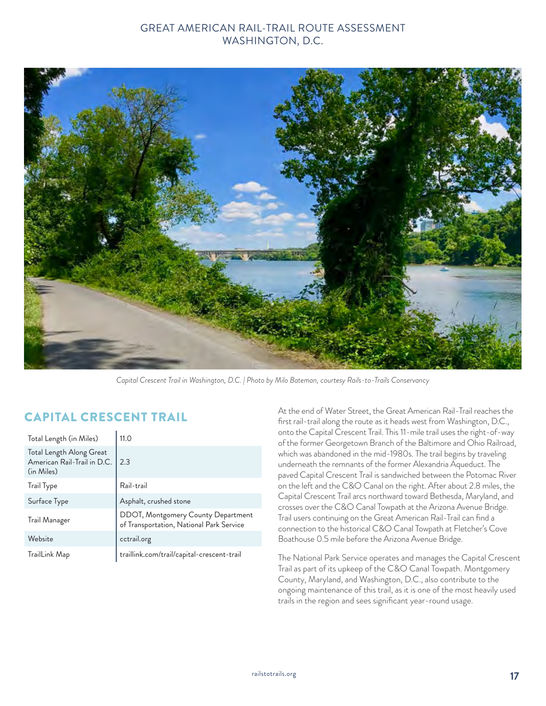

*Capital Crescent Trail in Washington, D.C. | Photo by Milo Bateman, courtesy Rails-to-Trails Conservancy*

# CAPITAL CRESCENT TRAIL

| Total Length (in Miles)                                               | 11.0                                                                           |
|-----------------------------------------------------------------------|--------------------------------------------------------------------------------|
| Total Length Along Great<br>American Rail-Trail in D.C.<br>(in Miles) | 2.3                                                                            |
| Trail Type                                                            | Rail-trail                                                                     |
| Surface Type                                                          | Asphalt, crushed stone                                                         |
| Trail Manager                                                         | DDOT, Montgomery County Department<br>of Transportation, National Park Service |
| Website                                                               | cctrail.org                                                                    |
| TrailLink Map                                                         | traillink.com/trail/capital-crescent-trail                                     |

At the end of Water Street, the Great American Rail-Trail reaches the first rail-trail along the route as it heads west from Washington, D.C., onto the Capital Crescent Trail. This 11-mile trail uses the right-of-way of the former Georgetown Branch of the Baltimore and Ohio Railroad, which was abandoned in the mid-1980s. The trail begins by traveling underneath the remnants of the former Alexandria Aqueduct. The paved Capital Crescent Trail is sandwiched between the Potomac River on the left and the C&O Canal on the right. After about 2.8 miles, the Capital Crescent Trail arcs northward toward Bethesda, Maryland, and crosses over the C&O Canal Towpath at the Arizona Avenue Bridge. Trail users continuing on the Great American Rail-Trail can find a connection to the historical C&O Canal Towpath at Fletcher's Cove Boathouse 0.5 mile before the Arizona Avenue Bridge.

The National Park Service operates and manages the Capital Crescent Trail as part of its upkeep of the C&O Canal Towpath. Montgomery County, Maryland, and Washington, D.C., also contribute to the ongoing maintenance of this trail, as it is one of the most heavily used trails in the region and sees significant year-round usage.